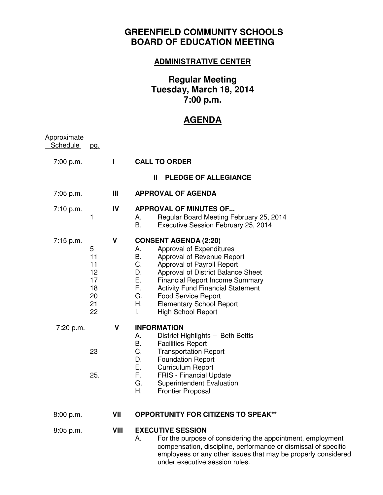## **GREENFIELD COMMUNITY SCHOOLS BOARD OF EDUCATION MEETING**

## **ADMINISTRATIVE CENTER**

## **Regular Meeting Tuesday, March 18, 2014 7:00 p.m.**

## **AGENDA**

| Approximate<br><b>Schedule</b> | <u>pg.</u>                                        |              |                                                                                                                                                                                                                                                                                                                                                                                                      |
|--------------------------------|---------------------------------------------------|--------------|------------------------------------------------------------------------------------------------------------------------------------------------------------------------------------------------------------------------------------------------------------------------------------------------------------------------------------------------------------------------------------------------------|
| 7:00 p.m.                      |                                                   | $\mathbf{I}$ | <b>CALL TO ORDER</b>                                                                                                                                                                                                                                                                                                                                                                                 |
|                                |                                                   |              | <b>PLEDGE OF ALLEGIANCE</b><br>$\mathbf{I}$                                                                                                                                                                                                                                                                                                                                                          |
| 7:05 p.m.                      |                                                   | Ш            | <b>APPROVAL OF AGENDA</b>                                                                                                                                                                                                                                                                                                                                                                            |
| 7:10 p.m.                      | 1                                                 | IV           | <b>APPROVAL OF MINUTES OF</b><br>Regular Board Meeting February 25, 2014<br>А.<br>В.<br>Executive Session February 25, 2014                                                                                                                                                                                                                                                                          |
| $7:15$ p.m.                    | 5<br>11<br>11<br>12<br>17<br>18<br>20<br>21<br>22 | V            | <b>CONSENT AGENDA (2:20)</b><br>Approval of Expenditures<br>А.<br>В.<br>Approval of Revenue Report<br>C.<br>Approval of Payroll Report<br>D.<br>Approval of District Balance Sheet<br>Е.<br><b>Financial Report Income Summary</b><br>F.<br><b>Activity Fund Financial Statement</b><br>G.<br><b>Food Service Report</b><br>Η.<br><b>Elementary School Report</b><br><b>High School Report</b><br>L. |
| 7:20 p.m.                      | 23<br>25.                                         | V            | <b>INFORMATION</b><br>District Highlights - Beth Bettis<br>А.<br>В.<br><b>Facilities Report</b><br>C.<br><b>Transportation Report</b><br><b>Foundation Report</b><br>D.<br>Е.<br><b>Curriculum Report</b><br>F.<br><b>FRIS</b> - Financial Update<br>G.<br><b>Superintendent Evaluation</b><br>Η.<br><b>Frontier Proposal</b>                                                                        |
| 8:00 p.m.                      |                                                   | VII          | <b>OPPORTUNITY FOR CITIZENS TO SPEAK**</b>                                                                                                                                                                                                                                                                                                                                                           |
| 8:05 p.m.                      |                                                   | VIII         | <b>EXECUTIVE SESSION</b><br>For the purpose of considering the appointment, employment<br>Α.<br>compensation, discipline, performance or dismissal of specific<br>employees or any other issues that may be properly considered<br>under executive session rules.                                                                                                                                    |